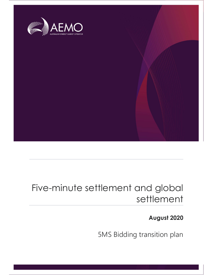

# Five-minute settlement and global settlement

# August 2020

5MS Bidding transition plan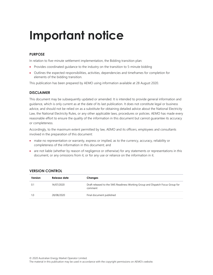# Important notice

#### PURPOSE

In relation to five-minute settlement implementation, the Bidding transition plan:

- Provides coordinated guidance to the industry on the transition to 5-minute bidding
- Outlines the expected responsibilities, activities, dependencies and timeframes for completion for elements of the bidding transition.

This publication has been prepared by AEMO using information available at 28 August 2020.

#### DISCLAIMER

This document may be subsequently updated or amended. It is intended to provide general information and guidance, which is only current as at the date of its last publication. It does not constitute legal or business advice, and should not be relied on as a substitute for obtaining detailed advice about the National Electricity Law, the National Electricity Rules, or any other applicable laws, procedures or policies. AEMO has made every reasonable effort to ensure the quality of the information in this document but cannot guarantee its accuracy or completeness.

Accordingly, to the maximum extent permitted by law, AEMO and its officers, employees and consultants involved in the preparation of this document:

- make no representation or warranty, express or implied, as to the currency, accuracy, reliability or completeness of the information in this document; and
- are not liable (whether by reason of negligence or otherwise) for any statements or representations in this document, or any omissions from it, or for any use or reliance on the information in it.

| Version | Release date | <b>Changes</b>                                                                            |
|---------|--------------|-------------------------------------------------------------------------------------------|
| 0.1     | 14/07/2020   | Draft released to the 5MS Readiness Working Group and Dispatch Focus Group for<br>comment |
| 1.0     | 28/08/2020   | Final document published                                                                  |

#### VERSION CONTROL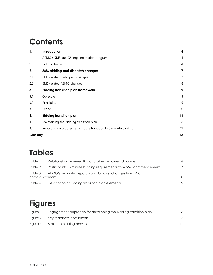# **Contents**

| 1.       | Introduction                                                     | 4              |
|----------|------------------------------------------------------------------|----------------|
| 1.1      | AEMO's 5MS and GS implementation program                         | $\overline{4}$ |
| 1.2      | Bidding transition                                               | $\overline{4}$ |
| 2.       | 5MS bidding and dispatch changes                                 | 7              |
| 2.1      | 5MS-related participant changes                                  | $\overline{7}$ |
| 2.2      | 5MS-related AEMO changes                                         | 8              |
| 3.       | <b>Bidding transition plan framework</b>                         | 9              |
| 3.1      | Objective                                                        | 9              |
| 3.2      | Principles                                                       | 9              |
| 3.3      | Scope                                                            | 10             |
| 4.       | <b>Bidding transition plan</b>                                   | 11             |
| 4.1      | Maintaining the Bidding transition plan                          | 12             |
| 4.2      | Reporting on progress against the transition to 5-minute bidding | 12             |
| Glossary |                                                                  | 13             |

# Tables

| Table 1                 | Relationship between BTP and other readiness documents            | 6  |
|-------------------------|-------------------------------------------------------------------|----|
| Table 2                 | Participants' 5-minute bidding requirements from 5MS commencement | 7  |
| Table 3<br>commencement | AEMO's 5-minute dispatch and bidding changes from 5MS             | 8  |
| Table 4                 | Description of Bidding transition plan elements                   | 12 |

# Figures

| Fiaure 1 | Engagement approach for developing the Bidding transition plan |  |
|----------|----------------------------------------------------------------|--|
|          | Figure 2 Key readiness documents                               |  |
|          | Figure 3 5-minute bidding phases                               |  |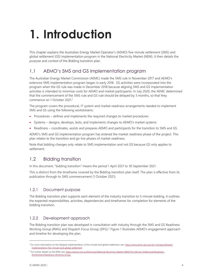# 1. Introduction

This chapter explains the Australian Energy Market Operator's (AEMO) five-minute settlement (5MS) and global settlement (GS) implementation program in the National Electricity Market (NEM). It then details the purpose and context of the Bidding transition plan.

# 1.1 AEMO's 5MS and GS implementation program

The Australian Energy Market Commission (AEMC) made the 5MS rule in November 2017 and AEMO's extensive 5MS implementation program began in early 2018. GS activities were incorporated into the program when the GS rule was made in December 2018 because aligning 5MS and GS implementation activities is intended to minimise costs for AEMO and market participants. In July 2020, the AEMC determined that the commencement of the 5MS rule and GS rule should be delayed by 3 months, so that they commence on 1 October 2021.<sup>1</sup>

The program covers the procedural, IT system and market readiness arrangements needed to implement 5MS and GS using the following workstreams:

- Procedures defines and implements the required changes to market procedures
- Systems designs, develops, tests, and implements changes to AEMO's market systems
- Readiness coordinates, assists and prepares AEMO and participants for the transition to 5MS and GS.

AEMO's 5MS and GS implementation program has entered the market readiness phase of the project. This plan relates to the transition and go-live phases of market readiness.

Note that bidding changes only relate to 5MS implementation and not GS because GS only applies to settlement.

## 1.2 Bidding transition

In this document, "bidding transition" means the period 1 April 2021 to 30 September 2021.

This is distinct from the timeframe covered by the Bidding transition plan itself. The plan is effective from its publication through to 5MS commencement (1 October 2021).

### 1.2.1 Document purpose

The Bidding transition plan supports each element of the industry transition to 5-minute bidding. It outlines the expected responsibilities, activities, dependencies and timeframes for completion for elements of the bidding transition.

### 1.2.2 Development approach

The Bidding transition plan was developed in consultation with industry through the 5MS and GS Readiness Working Group (RWG) and Dispatch Focus Group (DFG).<sup>2</sup> Figure 1 illustrates AEMO's engagement approach and timeline for developing the plan.

<sup>&</sup>lt;sup>1</sup> For more information on the Delayed implementation of five minute and global settlement, see: https://www.aemc.gov.au/rule-changes/delayedimplementation-five-minute-and-global-settlement

<sup>&</sup>lt;sup>2</sup> For further details on the RWG see: https://aemo.com.au/Electricity/National-Electricity-Market-NEM/Five-Minute-Settlement/Readiness-Workstream/Readiness-Working-Group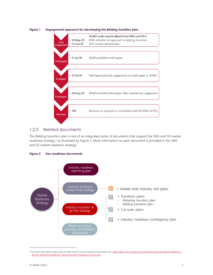

#### Figure 1 Engagement approach for developing the Bidding transition plan

#### 1.2.3 Related documents

The Bidding transition plan is one of an integrated series of documents that support the 5MS and GS market readiness strategy,<sup>3</sup> as illustrated by Figure 2. More information on each document is provided in the 5MS and GS market readiness strategy.





<sup>&</sup>lt;sup>3</sup> For more information and access to 5MS and GS market readiness documents see: https://aemo.com.au/Electricity/National-Electricity-Market-NEM/Five-Minute-Settlement/Readiness-Workstream/Key-Readiness-Documents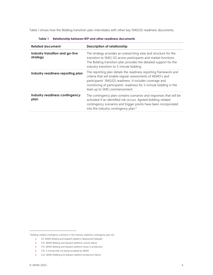Table 1 shows how the Bidding transition plan interrelates with other key 5MS/GS readiness documents.

| <b>Related document</b>                     | <b>Description of relationship</b>                                                                                                                                                                                                                                                               |  |
|---------------------------------------------|--------------------------------------------------------------------------------------------------------------------------------------------------------------------------------------------------------------------------------------------------------------------------------------------------|--|
| Industry transition and go-live<br>strategy | The strategy provides an overarching view and structure for the<br>transition to 5MS/ GS across participants and market functions.<br>The Bidding transition plan provides the detailed support for the<br>industry transition to 5-minute bidding.                                              |  |
| Industry readiness reporting plan           | The reporting plan details the readiness reporting framework and<br>criteria that will enable regular assessments of AEMO's and<br>participants' 5MS/GS readiness. It includes coverage and<br>monitoring of participants' readiness for 5-minute bidding in the<br>lead-up to 5MS commencement. |  |
| Industry readiness contingency<br>plan      | The contingency plan contains scenarios and responses that will be<br>activated if an identified risk occurs. Agreed bidding-related<br>contingency scenarios and trigger points have been incorporated<br>into the Industry contingency plan. <sup>4</sup>                                      |  |

| Table 1 | Relationship between BTP and other readiness documents |  |  |
|---------|--------------------------------------------------------|--|--|
|         |                                                        |  |  |

<sup>4</sup> Bidding-related contingency scenarios in the Industry readiness contingency plan are:

C9: AEMO Bidding and dispatch platform deployment delayed

C12: AEMO Bidding and dispatch platform cutover failure

C15: AEMO Bidding and dispatch platform issues in production

C16: 5-minute bids not being accepted by AEMO

C22: AEMO Bidding and dispatch platform production failure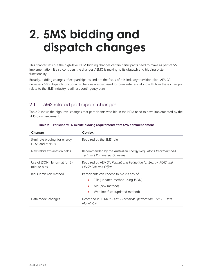# 2. 5MS bidding and dispatch changes

This chapter sets out the high-level NEM bidding changes certain participants need to make as part of 5MS implementation. It also considers the changes AEMO is making to its dispatch and bidding system functionality.

Broadly, bidding changes affect participants and are the focus of this industry transition plan. AEMO's necessary 5MS dispatch functionality changes are discussed for completeness, along with how these changes relate to the 5MS Industry readiness contingency plan.

# 2.1 5MS-related participant changes

Table 2 shows the high-level changes that participants who bid in the NEM need to have implemented by the 5MS commencement.

| Change                                          | Context                                                                                                                             |
|-------------------------------------------------|-------------------------------------------------------------------------------------------------------------------------------------|
| 5-minute bidding, for energy,<br>FCAS and MNSPs | Required by the 5MS rule                                                                                                            |
| New rebid explanation fields                    | Recommended by the Australian Energy Regulator's Rebidding and<br>Technical Parameters Guideline                                    |
| Use of JSON file format for 5-<br>minute bids   | Required by AEMO's Format and Validation for Energy, FCAS and<br><b>MNSP Bids and Offers</b>                                        |
| Bid submission method                           | Participants can choose to bid via any of:<br>FTP (updated method using JSON)<br>API (new method)<br>Web interface (updated method) |
| Data model changes                              | Described in AEMO's EMMS Technical Specification – 5MS – Data<br>Model v5.0                                                         |

#### Table 2 Participants' 5-minute bidding requirements from 5MS commencement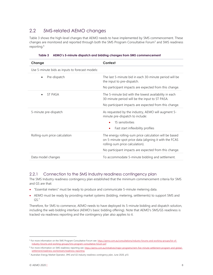## 2.2 5MS-related AEMO changes

Table 3 shows the high-level changes that AEMO needs to have implemented by 5MS commencement. These changes are monitored and reported through both the 5MS Program Consultative Forum<sup>5</sup> and 5MS readiness reporting.<sup>6</sup>

| Change                                          | Context                                                                                                                                             |
|-------------------------------------------------|-----------------------------------------------------------------------------------------------------------------------------------------------------|
| Use 5-minute bids as inputs to forecast models: |                                                                                                                                                     |
|                                                 |                                                                                                                                                     |
| Pre-dispatch<br>$\bullet$                       | The last 5-minute bid in each 30-minute period will be<br>the input to pre-dispatch.                                                                |
|                                                 | No participant impacts are expected from this change.                                                                                               |
| <b>ST PASA</b>                                  | The 5-minute bid with the lowest availability in each<br>30-minute period will be the input to ST PASA.                                             |
|                                                 | No participant impacts are expected from this change.                                                                                               |
| 5-minute pre-dispatch                           | As requested by the industry, AEMO will augment 5-<br>minute pre-dispatch to include:                                                               |
|                                                 | 15 sensitivities                                                                                                                                    |
|                                                 | Fast start inflexibility profiles<br>۰                                                                                                              |
| Rolling-sum price calculation                   | The energy rolling-sum price calculation will be based<br>on 5-minute spot price data (aligning it with the FCAS<br>rolling-sum price calculation). |
|                                                 | No participant impacts are expected from this change.                                                                                               |
| Data model changes                              | To accommodate 5-minute bidding and settlement.                                                                                                     |

Table 3 AEMO's 5-minute dispatch and bidding changes from 5MS commencement

#### 2.2.1 Connection to the 5MS Industry readiness contingency plan

The 5MS Industry readiness contingency plan established that the minimum commencement criteria for 5MS and GS are that:

- "Essential meters" must be ready to produce and communicate 5-minute metering data.
- AEMO must be ready by providing market systems (bidding, metering, settlements) to support 5MS and GS.<sup>7</sup>

Therefore, for 5MS to commence, AEMO needs to have deployed its 5-minute bidding and dispatch solution, including the web bidding interface (AEMO's basic bidding offering). Note that AEMO's 5MS/GS readiness is tracked via readiness reporting and the contingency plan also applies to it.

<sup>&</sup>lt;sup>5</sup> For more information on the 5MS Program Consultative Forum see: https://aemo.com.au/consultations/industry-forums-and-working-groups/list-ofindustry-forums-and-working-groups/5ms-program-consultative-forum-pcf

<sup>&</sup>lt;sup>6</sup> For more information on 5MS readiness reporting see: https://aemo.com.au/initiatives/major-programs/nem-five-minute-settlement-program-and-globalsettlement/readiness-workstream/readiness-reporting

<sup>&</sup>lt;sup>7</sup> Australian Energy Market Operator, 5MS and GS Industry readiness contingency plan, June 2020, p13.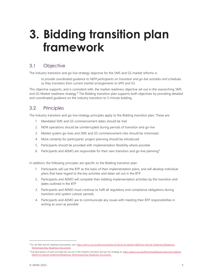# 3. Bidding transition plan framework

## 3.1 Objective

The Industry transition and go-live strategy objective for the 5MS and GS market reforms is:

to provide coordinated guidance to NEM participants on transition and go-live activities and schedules as they transition from current market arrangements to 5MS and GS.

This objective supports, and is consistent with, the market readiness objective set out in the overarching 5MS and GS Market readiness strategy.<sup>8</sup> The Bidding transition plan supports both objectives by providing detailed and coordinated guidance on the industry transition to 5-minute bidding.

# 3.2 Principles

The Industry transition and go-live strategy principles apply to the Bidding transition plan. These are:

- 1. Mandated 5MS and GS commencement dates should be met
- 2. NEM operations should be uninterrupted during periods of transition and go-live
- 3. Market system go-lives and 5MS and GS commencement risks should be minimised
- 4. More certainty for participants' project planning should be introduced
- 5. Participants should be provided with implementation flexibility where possible
- 6. Participants and AEMO are responsible for their own transition and go-live planning<sup>9</sup>

In addition, the following principles are specific to the Bidding transition plan:

- 1. Participants will use the BTP as the basis of their implementation plans, and will develop individual plans that have regard to the key activities and dates set out in the BTP
- 2. Participants and AEMO will complete their bidding implementation activities by the transition end dates outlined in the BTP
- 3. Participants and AEMO must continue to fulfil all regulatory and compliance obligations during transition and system cutover periods
- 4. Participants and AEMO are to communicate any issues with meeting their BTP responsibilities in writing as soon as possible

<sup>&</sup>lt;sup>8</sup> For all 5MS and GS readiness documents, see: https://aemo.com.au/Electricity/National-Electricity-Market-NEM/Five-Minute-Settlement/Readiness-Workstream/Key-Readiness-Documents

<sup>&</sup>lt;sup>9</sup> Full descriptions of each principle are set out in the Industry transition and go-live strategy at: https://aemo.com.au/Electricity/National-Electricity-Market-NEM/Five-Minute-Settlement/Readiness-Workstream/Key-Readiness-Documents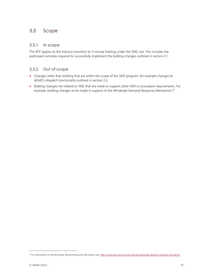### 3.3 Scope

#### 3.3.1 In scope

The BTP applies to the industry transition to 5-minute bidding under the 5MS rule. This includes the participant activities required to successfully implement the bidding changes outlined in section 2.1.

### 3.3.2 Out of scope

- Changes other than bidding that are within the scope of the 5MS program, for example changes to AEMO's dispatch functionality outlined in section 2.2.
- Bidding changes not related to 5MS that are made to support other NER or procedure requirements. For example, bidding changes to be made in support of the Wholesale Demand Response Mechanism.<sup>10</sup>

<sup>&</sup>lt;sup>10</sup> For information on the Wholesale Demand Response Mechanism see: https://www.aemc.gov.au/rule-changes/wholesale-demand-response-mechanism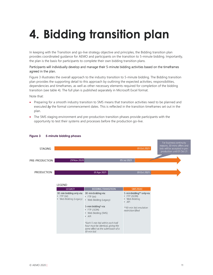# 4. Bidding transition plan

In keeping with the Transition and go-live strategy objective and principles, the Bidding transition plan provides coordinated guidance for AEMO and participants on the transition to 5-minute bidding. Importantly, the plan is the basis for participants to complete their own bidding transition plans.

#### Participants will individually develop and manage their 5-minute bidding activities based on the timeframes agreed in the plan.

Figure 3 illustrates the overall approach to the industry transition to 5-minute bidding. The Bidding transition plan provides the supporting detail to this approach by outlining the expected activities, responsibilities, dependencies and timeframes, as well as other necessary elements required for completion of the bidding transition (see table 4). The full plan is published separately in Microsoft Excel format.

Note that:

- Preparing for a smooth industry transition to 5MS means that transition activities need to be planned and executed by the formal commencement dates. This is reflected in the transition timeframes set out in the plan.
- The 5MS staging environment and pre-production transition phases provide participants with the opportunity to test their systems and processes before the production go-live.



#### Figure 3 5-minute bidding phases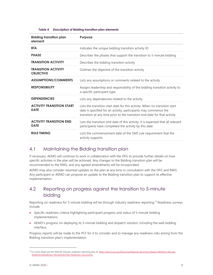|  | Table 4 Description of Bidding transition plan elements |
|--|---------------------------------------------------------|
|--|---------------------------------------------------------|

| <b>Bidding transition plan</b><br>element       | <b>Purpose</b>                                                                                                                                                                                                                |
|-------------------------------------------------|-------------------------------------------------------------------------------------------------------------------------------------------------------------------------------------------------------------------------------|
| <b>BTA</b>                                      | Indicates the unique bidding transition activity ID                                                                                                                                                                           |
| <b>PHASE</b>                                    | Describes the phases that support the transition to 5-minute bidding                                                                                                                                                          |
| <b>TRANSITION ACTIVITY</b>                      | Describes the bidding transition activity                                                                                                                                                                                     |
| <b>TRANSITION ACTIVITY</b><br><b>OBJECTIVE</b>  | Outlines the objective of the transition activity                                                                                                                                                                             |
| <b>ASSUMPTIONS/COMMENTS</b>                     | Lists any assumptions or comments related to the activity                                                                                                                                                                     |
| <b>RESPONSIBILITY</b>                           | Assigns leadership and responsibility of the bidding transition activity to<br>a specific participant type                                                                                                                    |
| <b>DEPENDENCIES</b>                             | Lists any dependencies related to the activity                                                                                                                                                                                |
| <b>ACTIVITY TRANSITION START</b><br><b>DATE</b> | Lists the transition start date for this activity. When no transition start<br>date is specified for an activity, participants may commence the<br>transition at any time prior to the transition end date for that activity. |
| <b>ACTIVITY TRANSITION END</b><br><b>DATE</b>   | Lists the transition end date of this activity. It is expected that all relevant<br>participants have completed the activity by this date.                                                                                    |
| <b>RULE TIMING</b>                              | Lists the commencement date of the 5MS rule requirement that the<br>activity supports                                                                                                                                         |

### 4.1 Maintaining the Bidding transition plan

If necessary, AEMO will continue to work in collaboration with the DFG to provide further details on how specific activities in the plan will be actioned. Any changes to the Bidding transition plan will be recommended to the RWG, and any agreed amendments will be incorporated.

AEMO may also consider essential updates to the plan at any time in consultation with the DFG and RWG. Any participant or AEMO can propose an update to the Bidding transition plan to support its effective implementation.

## 4.2 Reporting on progress against the transition to 5-minute bidding

Reporting on readiness for 5-minute bidding will be through industry readiness reporting.<sup>11</sup> Readiness surveys include:

- Specific readiness criteria highlighting participant progress and status of 5-minute bidding implementations
- AEMO's progress on deploying its 5-minute bidding and dispatch solution, including the web bidding interface.

Progress reports will be made to the PCF for it to consider and to manage any readiness risks arising from the Bidding transition plan's implementation.

<sup>&</sup>lt;sup>11</sup> For more detail see the 5MS/GS Industry readiness reporting plan at: https://aemo.com.au/Electricity/National-Electricity-Market-NEM/Five-Minute-Settlement/Readiness-Workstream/Key-Readiness-Documents